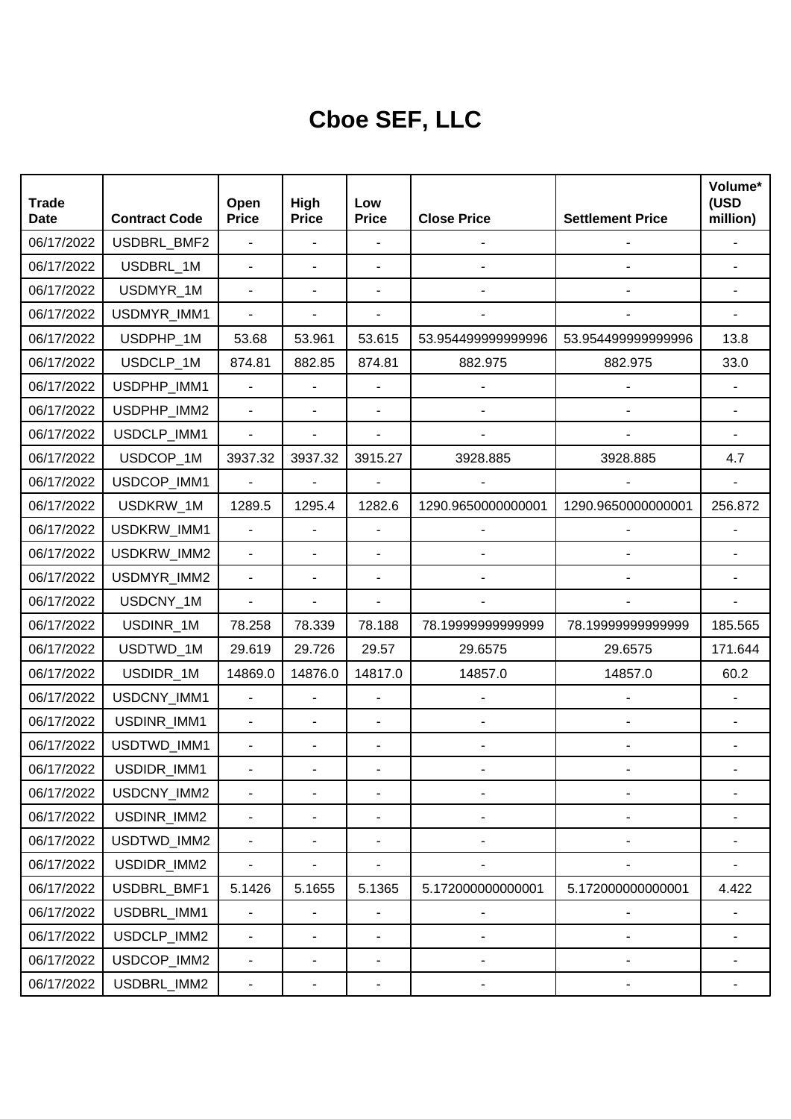## **Cboe SEF, LLC**

| <b>Trade</b><br><b>Date</b> | <b>Contract Code</b> | Open<br><b>Price</b>     | High<br><b>Price</b> | Low<br><b>Price</b>      | <b>Close Price</b>       | <b>Settlement Price</b>      | Volume*<br>(USD<br>million) |
|-----------------------------|----------------------|--------------------------|----------------------|--------------------------|--------------------------|------------------------------|-----------------------------|
| 06/17/2022                  | USDBRL_BMF2          | ä,                       | ä,                   |                          | $\overline{a}$           |                              |                             |
| 06/17/2022                  | USDBRL_1M            | $\blacksquare$           | ä,                   |                          |                          |                              |                             |
| 06/17/2022                  | USDMYR_1M            | $\blacksquare$           | ä,                   |                          |                          |                              |                             |
| 06/17/2022                  | USDMYR_IMM1          |                          |                      |                          |                          |                              |                             |
| 06/17/2022                  | USDPHP_1M            | 53.68                    | 53.961               | 53.615                   | 53.954499999999996       | 53.954499999999996           | 13.8                        |
| 06/17/2022                  | USDCLP_1M            | 874.81                   | 882.85               | 874.81                   | 882.975                  | 882.975                      | 33.0                        |
| 06/17/2022                  | USDPHP_IMM1          | L.                       |                      |                          |                          |                              |                             |
| 06/17/2022                  | USDPHP_IMM2          | L,                       |                      |                          |                          |                              |                             |
| 06/17/2022                  | USDCLP_IMM1          | $\overline{a}$           |                      |                          |                          |                              |                             |
| 06/17/2022                  | USDCOP_1M            | 3937.32                  | 3937.32              | 3915.27                  | 3928.885                 | 3928.885                     | 4.7                         |
| 06/17/2022                  | USDCOP_IMM1          | $\blacksquare$           |                      |                          |                          |                              |                             |
| 06/17/2022                  | USDKRW_1M            | 1289.5                   | 1295.4               | 1282.6                   | 1290.9650000000001       | 1290.9650000000001           | 256.872                     |
| 06/17/2022                  | USDKRW_IMM1          | $\overline{a}$           | ä,                   |                          |                          |                              |                             |
| 06/17/2022                  | USDKRW_IMM2          | $\overline{\phantom{0}}$ | ÷,                   |                          |                          |                              |                             |
| 06/17/2022                  | USDMYR_IMM2          | $\blacksquare$           | ÷,                   | L,                       |                          |                              |                             |
| 06/17/2022                  | USDCNY_1M            | $\blacksquare$           |                      |                          |                          |                              |                             |
| 06/17/2022                  | USDINR_1M            | 78.258                   | 78.339               | 78.188                   | 78.1999999999999         | 78.19999999999999            | 185.565                     |
| 06/17/2022                  | USDTWD_1M            | 29.619                   | 29.726               | 29.57                    | 29.6575                  | 29.6575                      | 171.644                     |
| 06/17/2022                  | USDIDR_1M            | 14869.0                  | 14876.0              | 14817.0                  | 14857.0                  | 14857.0                      | 60.2                        |
| 06/17/2022                  | USDCNY_IMM1          | $\blacksquare$           | L,                   | $\overline{a}$           |                          |                              |                             |
| 06/17/2022                  | USDINR_IMM1          | $\overline{\phantom{a}}$ | ÷,                   | ÷,                       |                          |                              |                             |
| 06/17/2022                  | USDTWD_IMM1          | $\blacksquare$           | ÷,                   | $\blacksquare$           |                          |                              |                             |
| 06/17/2022                  | USDIDR_IMM1          |                          |                      |                          |                          |                              |                             |
| 06/17/2022                  | USDCNY_IMM2          |                          |                      |                          | $\overline{a}$           |                              |                             |
| 06/17/2022                  | USDINR_IMM2          | $\overline{\phantom{0}}$ |                      | $\blacksquare$           |                          |                              |                             |
| 06/17/2022                  | USDTWD_IMM2          | $\blacksquare$           | ٠                    | $\blacksquare$           | $\overline{\phantom{0}}$ | $\qquad \qquad \blacksquare$ |                             |
| 06/17/2022                  | USDIDR_IMM2          | $\blacksquare$           |                      | $\blacksquare$           |                          |                              |                             |
| 06/17/2022                  | USDBRL_BMF1          | 5.1426                   | 5.1655               | 5.1365                   | 5.17200000000001         | 5.172000000000001            | 4.422                       |
| 06/17/2022                  | USDBRL_IMM1          |                          |                      |                          |                          |                              |                             |
| 06/17/2022                  | USDCLP_IMM2          | $\blacksquare$           | ÷,                   | $\overline{\phantom{a}}$ | $\overline{a}$           |                              |                             |
| 06/17/2022                  | USDCOP_IMM2          | $\blacksquare$           | ٠                    | $\blacksquare$           | $\overline{a}$           | ٠                            |                             |
| 06/17/2022                  | USDBRL_IMM2          | ۰                        |                      | ۰                        |                          |                              |                             |